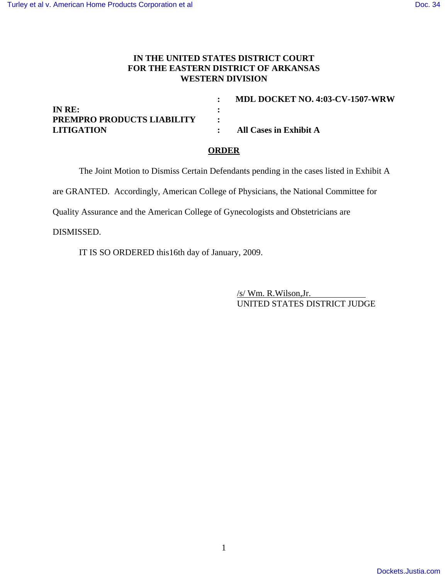## **IN THE UNITED STATES DISTRICT COURT FOR THE EASTERN DISTRICT OF ARKANSAS WESTERN DIVISION**

|                                   | MDL DOCKET NO. 4:03-CV-1507-WRW |
|-----------------------------------|---------------------------------|
| IN RE:                            |                                 |
| <b>PREMPRO PRODUCTS LIABILITY</b> |                                 |
| <b>LITIGATION</b>                 | <b>All Cases in Exhibit A</b>   |

## **ORDER**

The Joint Motion to Dismiss Certain Defendants pending in the cases listed in Exhibit A

are GRANTED. Accordingly, American College of Physicians, the National Committee for

Quality Assurance and the American College of Gynecologists and Obstetricians are

DISMISSED.

IT IS SO ORDERED this16th day of January, 2009.

/s/ Wm. R.Wilson,Jr. UNITED STATES DISTRICT JUDGE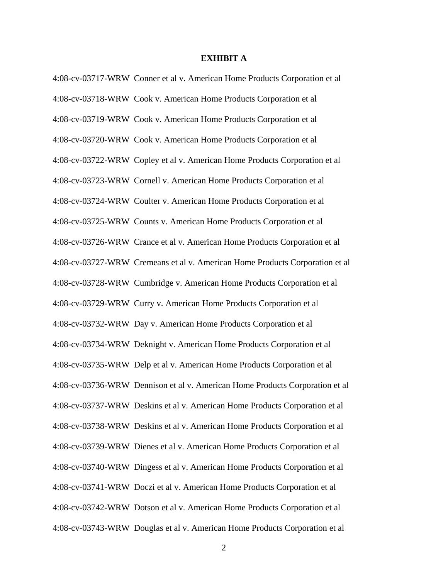## **EXHIBIT A**

4:08-cv-03717-WRW Conner et al v. American Home Products Corporation et al

- 4:08-cv-03718-WRW Cook v. American Home Products Corporation et al
- 4:08-cv-03719-WRW Cook v. American Home Products Corporation et al
- 4:08-cv-03720-WRW Cook v. American Home Products Corporation et al
- 4:08-cv-03722-WRW Copley et al v. American Home Products Corporation et al
- 4:08-cv-03723-WRW Cornell v. American Home Products Corporation et al
- 4:08-cv-03724-WRW Coulter v. American Home Products Corporation et al
- 4:08-cv-03725-WRW Counts v. American Home Products Corporation et al
- 4:08-cv-03726-WRW Crance et al v. American Home Products Corporation et al
- 4:08-cv-03727-WRW Cremeans et al v. American Home Products Corporation et al
- 4:08-cv-03728-WRW Cumbridge v. American Home Products Corporation et al
- 4:08-cv-03729-WRW Curry v. American Home Products Corporation et al
- 4:08-cv-03732-WRW Day v. American Home Products Corporation et al
- 4:08-cv-03734-WRW Deknight v. American Home Products Corporation et al
- 4:08-cv-03735-WRW Delp et al v. American Home Products Corporation et al
- 4:08-cv-03736-WRW Dennison et al v. American Home Products Corporation et al
- 4:08-cv-03737-WRW Deskins et al v. American Home Products Corporation et al
- 4:08-cv-03738-WRW Deskins et al v. American Home Products Corporation et al
- 4:08-cv-03739-WRW Dienes et al v. American Home Products Corporation et al
- 4:08-cv-03740-WRW Dingess et al v. American Home Products Corporation et al
- 4:08-cv-03741-WRW Doczi et al v. American Home Products Corporation et al
- 4:08-cv-03742-WRW Dotson et al v. American Home Products Corporation et al
- 4:08-cv-03743-WRW Douglas et al v. American Home Products Corporation et al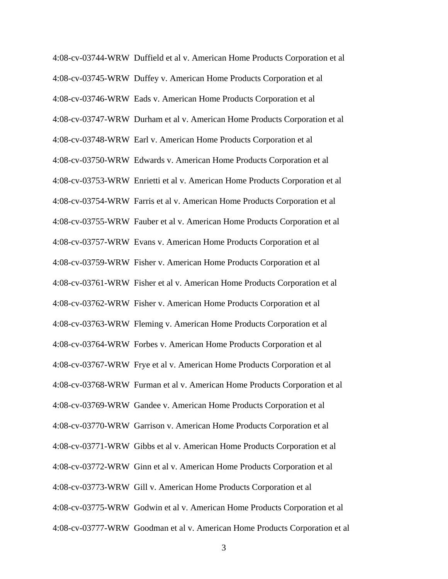4:08-cv-03744-WRW Duffield et al v. American Home Products Corporation et al 4:08-cv-03745-WRW Duffey v. American Home Products Corporation et al 4:08-cv-03746-WRW Eads v. American Home Products Corporation et al 4:08-cv-03747-WRW Durham et al v. American Home Products Corporation et al 4:08-cv-03748-WRW Earl v. American Home Products Corporation et al 4:08-cv-03750-WRW Edwards v. American Home Products Corporation et al 4:08-cv-03753-WRW Enrietti et al v. American Home Products Corporation et al 4:08-cv-03754-WRW Farris et al v. American Home Products Corporation et al 4:08-cv-03755-WRW Fauber et al v. American Home Products Corporation et al 4:08-cv-03757-WRW Evans v. American Home Products Corporation et al 4:08-cv-03759-WRW Fisher v. American Home Products Corporation et al 4:08-cv-03761-WRW Fisher et al v. American Home Products Corporation et al 4:08-cv-03762-WRW Fisher v. American Home Products Corporation et al 4:08-cv-03763-WRW Fleming v. American Home Products Corporation et al 4:08-cv-03764-WRW Forbes v. American Home Products Corporation et al 4:08-cv-03767-WRW Frye et al v. American Home Products Corporation et al 4:08-cv-03768-WRW Furman et al v. American Home Products Corporation et al 4:08-cv-03769-WRW Gandee v. American Home Products Corporation et al 4:08-cv-03770-WRW Garrison v. American Home Products Corporation et al 4:08-cv-03771-WRW Gibbs et al v. American Home Products Corporation et al 4:08-cv-03772-WRW Ginn et al v. American Home Products Corporation et al 4:08-cv-03773-WRW Gill v. American Home Products Corporation et al 4:08-cv-03775-WRW Godwin et al v. American Home Products Corporation et al 4:08-cv-03777-WRW Goodman et al v. American Home Products Corporation et al

3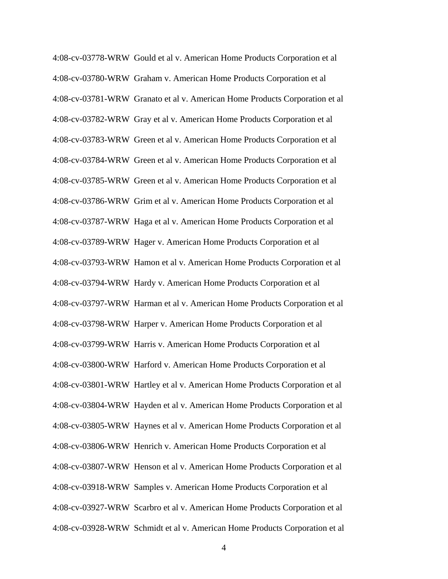4:08-cv-03778-WRW Gould et al v. American Home Products Corporation et al 4:08-cv-03780-WRW Graham v. American Home Products Corporation et al 4:08-cv-03781-WRW Granato et al v. American Home Products Corporation et al 4:08-cv-03782-WRW Gray et al v. American Home Products Corporation et al 4:08-cv-03783-WRW Green et al v. American Home Products Corporation et al 4:08-cv-03784-WRW Green et al v. American Home Products Corporation et al 4:08-cv-03785-WRW Green et al v. American Home Products Corporation et al 4:08-cv-03786-WRW Grim et al v. American Home Products Corporation et al 4:08-cv-03787-WRW Haga et al v. American Home Products Corporation et al 4:08-cv-03789-WRW Hager v. American Home Products Corporation et al 4:08-cv-03793-WRW Hamon et al v. American Home Products Corporation et al 4:08-cv-03794-WRW Hardy v. American Home Products Corporation et al 4:08-cv-03797-WRW Harman et al v. American Home Products Corporation et al 4:08-cv-03798-WRW Harper v. American Home Products Corporation et al 4:08-cv-03799-WRW Harris v. American Home Products Corporation et al 4:08-cv-03800-WRW Harford v. American Home Products Corporation et al 4:08-cv-03801-WRW Hartley et al v. American Home Products Corporation et al 4:08-cv-03804-WRW Hayden et al v. American Home Products Corporation et al 4:08-cv-03805-WRW Haynes et al v. American Home Products Corporation et al 4:08-cv-03806-WRW Henrich v. American Home Products Corporation et al 4:08-cv-03807-WRW Henson et al v. American Home Products Corporation et al 4:08-cv-03918-WRW Samples v. American Home Products Corporation et al 4:08-cv-03927-WRW Scarbro et al v. American Home Products Corporation et al 4:08-cv-03928-WRW Schmidt et al v. American Home Products Corporation et al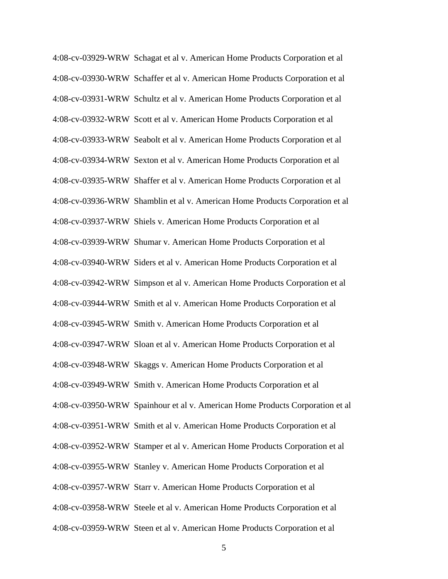4:08-cv-03929-WRW Schagat et al v. American Home Products Corporation et al 4:08-cv-03930-WRW Schaffer et al v. American Home Products Corporation et al 4:08-cv-03931-WRW Schultz et al v. American Home Products Corporation et al 4:08-cv-03932-WRW Scott et al v. American Home Products Corporation et al 4:08-cv-03933-WRW Seabolt et al v. American Home Products Corporation et al 4:08-cv-03934-WRW Sexton et al v. American Home Products Corporation et al 4:08-cv-03935-WRW Shaffer et al v. American Home Products Corporation et al 4:08-cv-03936-WRW Shamblin et al v. American Home Products Corporation et al 4:08-cv-03937-WRW Shiels v. American Home Products Corporation et al 4:08-cv-03939-WRW Shumar v. American Home Products Corporation et al 4:08-cv-03940-WRW Siders et al v. American Home Products Corporation et al 4:08-cv-03942-WRW Simpson et al v. American Home Products Corporation et al 4:08-cv-03944-WRW Smith et al v. American Home Products Corporation et al 4:08-cv-03945-WRW Smith v. American Home Products Corporation et al 4:08-cv-03947-WRW Sloan et al v. American Home Products Corporation et al 4:08-cv-03948-WRW Skaggs v. American Home Products Corporation et al 4:08-cv-03949-WRW Smith v. American Home Products Corporation et al 4:08-cv-03950-WRW Spainhour et al v. American Home Products Corporation et al 4:08-cv-03951-WRW Smith et al v. American Home Products Corporation et al 4:08-cv-03952-WRW Stamper et al v. American Home Products Corporation et al 4:08-cv-03955-WRW Stanley v. American Home Products Corporation et al 4:08-cv-03957-WRW Starr v. American Home Products Corporation et al 4:08-cv-03958-WRW Steele et al v. American Home Products Corporation et al 4:08-cv-03959-WRW Steen et al v. American Home Products Corporation et al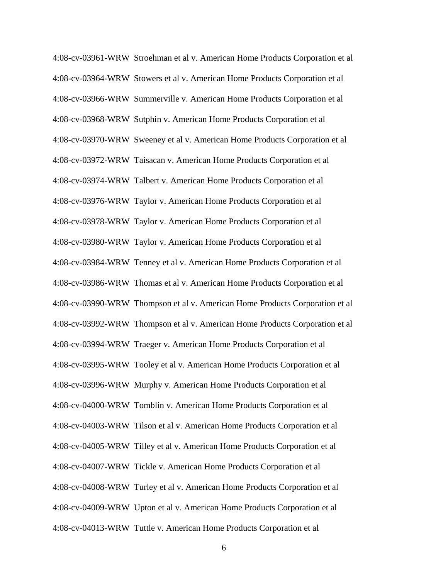4:08-cv-03961-WRW Stroehman et al v. American Home Products Corporation et al 4:08-cv-03964-WRW Stowers et al v. American Home Products Corporation et al 4:08-cv-03966-WRW Summerville v. American Home Products Corporation et al 4:08-cv-03968-WRW Sutphin v. American Home Products Corporation et al 4:08-cv-03970-WRW Sweeney et al v. American Home Products Corporation et al 4:08-cv-03972-WRW Taisacan v. American Home Products Corporation et al 4:08-cv-03974-WRW Talbert v. American Home Products Corporation et al 4:08-cv-03976-WRW Taylor v. American Home Products Corporation et al 4:08-cv-03978-WRW Taylor v. American Home Products Corporation et al 4:08-cv-03980-WRW Taylor v. American Home Products Corporation et al 4:08-cv-03984-WRW Tenney et al v. American Home Products Corporation et al 4:08-cv-03986-WRW Thomas et al v. American Home Products Corporation et al 4:08-cv-03990-WRW Thompson et al v. American Home Products Corporation et al 4:08-cv-03992-WRW Thompson et al v. American Home Products Corporation et al 4:08-cv-03994-WRW Traeger v. American Home Products Corporation et al 4:08-cv-03995-WRW Tooley et al v. American Home Products Corporation et al 4:08-cv-03996-WRW Murphy v. American Home Products Corporation et al 4:08-cv-04000-WRW Tomblin v. American Home Products Corporation et al 4:08-cv-04003-WRW Tilson et al v. American Home Products Corporation et al 4:08-cv-04005-WRW Tilley et al v. American Home Products Corporation et al 4:08-cv-04007-WRW Tickle v. American Home Products Corporation et al 4:08-cv-04008-WRW Turley et al v. American Home Products Corporation et al 4:08-cv-04009-WRW Upton et al v. American Home Products Corporation et al 4:08-cv-04013-WRW Tuttle v. American Home Products Corporation et al

6